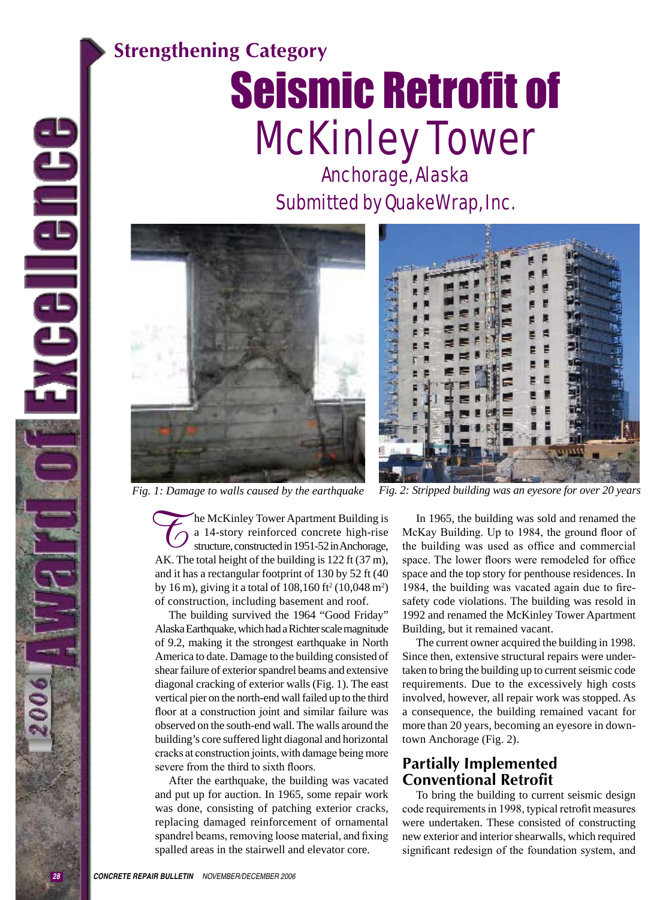## **Strengthening Category**

# Seismic Retrofit of McKinley Tower

Anchorage, Alaska Submitted by QuakeWrap, Inc.





*Fig. 1: Damage to walls caused by the earthquake Fig. 2: Stripped building was an eyesore for over 20 years*

he McKinley Tower Apartment Building is a 14-story reinforced concrete high-rise structure, constructed in 1951-52 in Anchorage, AK. The total height of the building is 122 ft (37 m), and it has a rectangular footprint of 130 by 52 ft (40 by 16 m), giving it a total of  $108,160$  ft<sup>2</sup> (10,048 m<sup>2</sup>) of construction, including basement and roof. To Williams

The building survived the 1964 "Good Friday" Alaska Earthquake, which had a Richter scale magnitude of 9.2, making it the strongest earthquake in North America to date. Damage to the building consisted of shear failure of exterior spandrel beams and extensive diagonal cracking of exterior walls (Fig. 1). The east vertical pier on the north-end wall failed up to the third floor at a construction joint and similar failure was observed on the south-end wall. The walls around the building's core suffered light diagonal and horizontal cracks at construction joints, with damage being more severe from the third to sixth floors.

After the earthquake, the building was vacated and put up for auction. In 1965, some repair work was done, consisting of patching exterior cracks, replacing damaged reinforcement of ornamental spandrel beams, removing loose material, and fixing spalled areas in the stairwell and elevator core.

In 1965, the building was sold and renamed the McKay Building. Up to 1984, the ground floor of the building was used as office and commercial space. The lower floors were remodeled for office space and the top story for penthouse residences. In 1984, the building was vacated again due to firesafety code violations. The building was resold in 1992 and renamed the McKinley Tower Apartment Building, but it remained vacant.

The current owner acquired the building in 1998. Since then, extensive structural repairs were undertaken to bring the building up to current seismic code requirements. Due to the excessively high costs involved, however, all repair work was stopped. As a consequence, the building remained vacant for more than 20 years, becoming an eyesore in downtown Anchorage (Fig. 2).

## **Partially Implemented Conventional Retrofit**

To bring the building to current seismic design code requirements in 1998, typical retrofit measures were undertaken. These consisted of constructing new exterior and interior shearwalls, which required significant redesign of the foundation system, and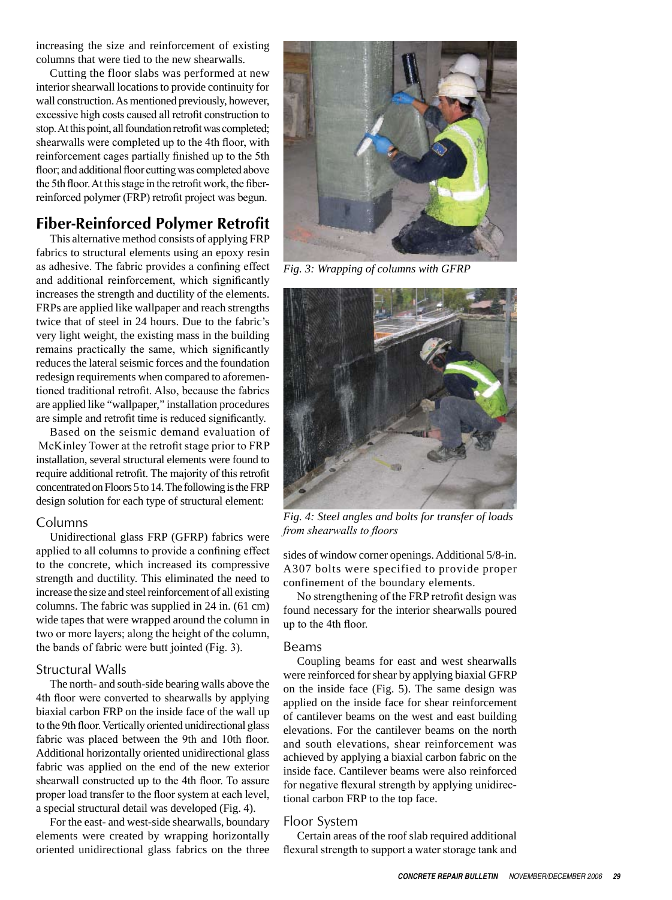increasing the size and reinforcement of existing columns that were tied to the new shearwalls.

Cutting the floor slabs was performed at new interior shearwall locations to provide continuity for wall construction. As mentioned previously, however, excessive high costs caused all retrofit construction to stop. At this point, all foundation retrofit was completed; shearwalls were completed up to the 4th floor, with reinforcement cages partially finished up to the 5th floor; and additional floor cutting was completed above the 5th floor. At this stage in the retrofit work, the fiberreinforced polymer (FRP) retrofit project was begun.

## **Fiber-Reinforced Polymer Retrofit**

This alternative method consists of applying FRP fabrics to structural elements using an epoxy resin as adhesive. The fabric provides a confining effect and additional reinforcement, which significantly increases the strength and ductility of the elements. FRPs are applied like wallpaper and reach strengths twice that of steel in 24 hours. Due to the fabric's very light weight, the existing mass in the building remains practically the same, which significantly reduces the lateral seismic forces and the foundation redesign requirements when compared to aforementioned traditional retrofit. Also, because the fabrics are applied like "wallpaper," installation procedures are simple and retrofit time is reduced significantly.

Based on the seismic demand evaluation of McKinley Tower at the retrofit stage prior to FRP installation, several structural elements were found to require additional retrofit. The majority of this retrofit concentrated on Floors 5 to 14. The following is the FRP design solution for each type of structural element:

#### Columns

Unidirectional glass FRP (GFRP) fabrics were applied to all columns to provide a confining effect to the concrete, which increased its compressive strength and ductility. This eliminated the need to increase the size and steel reinforcement of all existing columns. The fabric was supplied in 24 in. (61 cm) wide tapes that were wrapped around the column in two or more layers; along the height of the column, the bands of fabric were butt jointed (Fig. 3).

#### Structural Walls

The north- and south-side bearing walls above the 4th floor were converted to shearwalls by applying biaxial carbon FRP on the inside face of the wall up to the 9th floor. Vertically oriented unidirectional glass fabric was placed between the 9th and 10th floor. Additional horizontally oriented unidirectional glass fabric was applied on the end of the new exterior shearwall constructed up to the 4th floor. To assure proper load transfer to the floor system at each level, a special structural detail was developed (Fig. 4).

For the east- and west-side shearwalls, boundary elements were created by wrapping horizontally oriented unidirectional glass fabrics on the three



*Fig. 3: Wrapping of columns with GFRP* 



*Fig. 4: Steel angles and bolts for transfer of loads from shearwalls to floors*

sides of window corner openings. Additional 5/8-in. A307 bolts were specified to provide proper confinement of the boundary elements.

No strengthening of the FRP retrofit design was found necessary for the interior shearwalls poured up to the 4th floor.

#### Beams

Coupling beams for east and west shearwalls were reinforced for shear by applying biaxial GFRP on the inside face (Fig. 5). The same design was applied on the inside face for shear reinforcement of cantilever beams on the west and east building elevations. For the cantilever beams on the north and south elevations, shear reinforcement was achieved by applying a biaxial carbon fabric on the inside face. Cantilever beams were also reinforced for negative flexural strength by applying unidirectional carbon FRP to the top face.

#### Floor System

Certain areas of the roof slab required additional flexural strength to support a water storage tank and